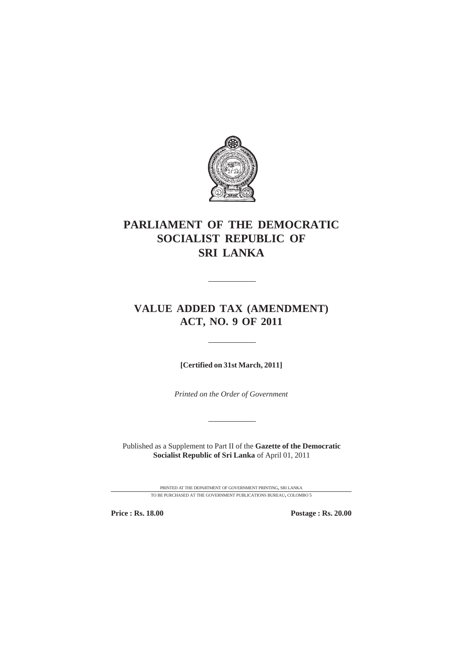

# **PARLIAMENT OF THE DEMOCRATIC SOCIALIST REPUBLIC OF SRI LANKA**

# **VALUE ADDED TAX (AMENDMENT) ACT, NO. 9 OF 2011**

**[Certified on 31st March, 2011]**

*Printed on the Order of Government*

Published as a Supplement to Part II of the **Gazette of the Democratic Socialist Republic of Sri Lanka** of April 01, 2011

> PRINTED AT THE DEPARTMENT OF GOVERNMENT PRINTING, SRI LANKA TO BE PURCHASED AT THE GOVERNMENT PUBLICATIONS BUREAU, COLOMBO 5

**Price : Rs. 18.00 Postage : Rs. 20.00**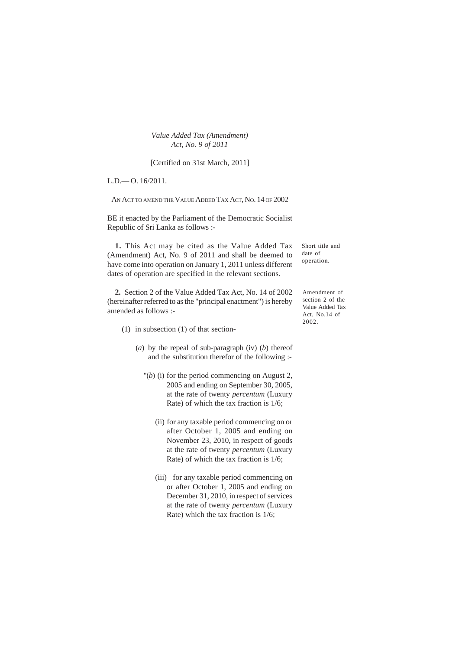[Certified on 31st March, 2011]

L.D.— O. 16/2011.

AN ACT TO AMEND THE VALUE ADDED TAX ACT, NO. 14 OF 2002

BE it enacted by the Parliament of the Democratic Socialist Republic of Sri Lanka as follows :-

**1.** This Act may be cited as the Value Added Tax (Amendment) Act, No. 9 of 2011 and shall be deemed to have come into operation on January 1, 2011 unless different dates of operation are specified in the relevant sections.

**2.** Section 2 of the Value Added Tax Act, No. 14 of 2002 (hereinafter referred to as the "principal enactment") is hereby amended as follows :-

- (1) in subsection (1) of that section-
	- (*a*) by the repeal of sub-paragraph (iv) (*b*) thereof and the substitution therefor of the following :-
		- "(*b*) (i) for the period commencing on August 2, 2005 and ending on September 30, 2005, at the rate of twenty *percentum* (Luxury Rate) of which the tax fraction is 1/6;
			- (ii) for any taxable period commencing on or after October 1, 2005 and ending on November 23, 2010, in respect of goods at the rate of twenty *percentum* (Luxury Rate) of which the tax fraction is 1/6;
			- (iii) for any taxable period commencing on or after October 1, 2005 and ending on December 31, 2010, in respect of services at the rate of twenty *percentum* (Luxury Rate) which the tax fraction is 1/6;

Short title and date of operation.

Amendment of section 2 of the Value Added Tax Act, No.14 of 2002.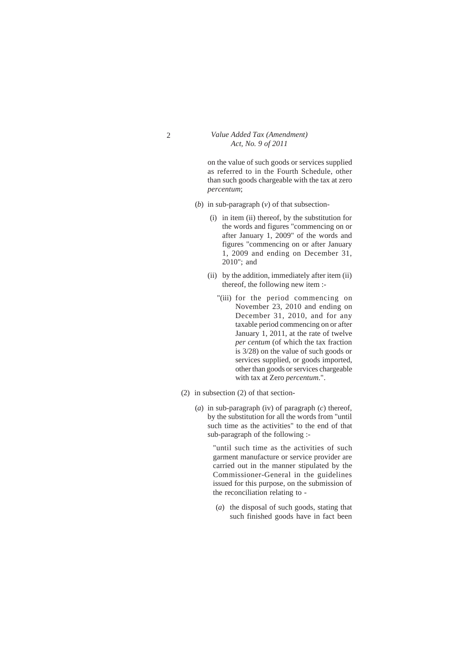on the value of such goods or services supplied as referred to in the Fourth Schedule, other than such goods chargeable with the tax at zero *percentum*;

- (*b*) in sub-paragraph (*v*) of that subsection-
	- (i) in item (ii) thereof, by the substitution for the words and figures "commencing on or after January 1, 2009" of the words and figures "commencing on or after January 1, 2009 and ending on December 31, 2010"; and
	- (ii) by the addition, immediately after item (ii) thereof, the following new item :-
		- "(iii) for the period commencing on November 23, 2010 and ending on December 31, 2010, and for any taxable period commencing on or after January 1, 2011, at the rate of twelve *per centum* (of which the tax fraction is 3/28) on the value of such goods or services supplied, or goods imported, other than goods or services chargeable with tax at Zero *percentum*.".
- (2) in subsection (2) of that section-
	- (*a*) in sub-paragraph (iv) of paragraph (*c*) thereof, by the substitution for all the words from "until such time as the activities" to the end of that sub-paragraph of the following :-

"until such time as the activities of such garment manufacture or service provider are carried out in the manner stipulated by the Commissioner-General in the guidelines issued for this purpose, on the submission of the reconciliation relating to -

(*a*) the disposal of such goods, stating that such finished goods have in fact been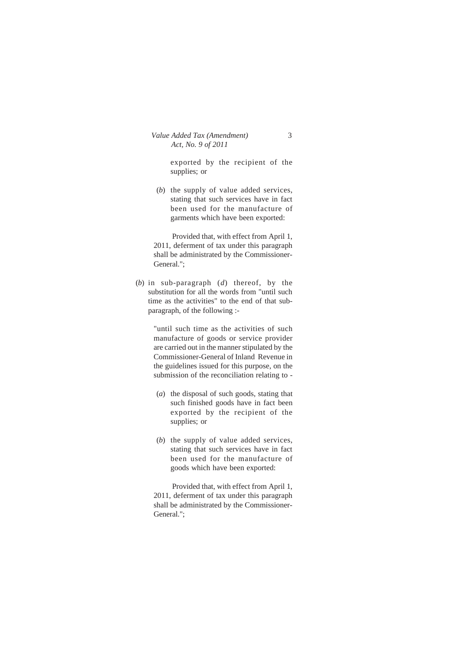exported by the recipient of the supplies; or

(*b*) the supply of value added services, stating that such services have in fact been used for the manufacture of garments which have been exported:

Provided that, with effect from April 1, 2011, deferment of tax under this paragraph shall be administrated by the Commissioner-General.";

(*b*) in sub-paragraph (*d*) thereof, by the substitution for all the words from "until such time as the activities" to the end of that subparagraph, of the following :-

> "until such time as the activities of such manufacture of goods or service provider are carried out in the manner stipulated by the Commissioner-General of Inland Revenue in the guidelines issued for this purpose, on the submission of the reconciliation relating to -

- (*a*) the disposal of such goods, stating that such finished goods have in fact been exported by the recipient of the supplies; or
- (*b*) the supply of value added services, stating that such services have in fact been used for the manufacture of goods which have been exported:

Provided that, with effect from April 1, 2011, deferment of tax under this paragraph shall be administrated by the Commissioner-General.";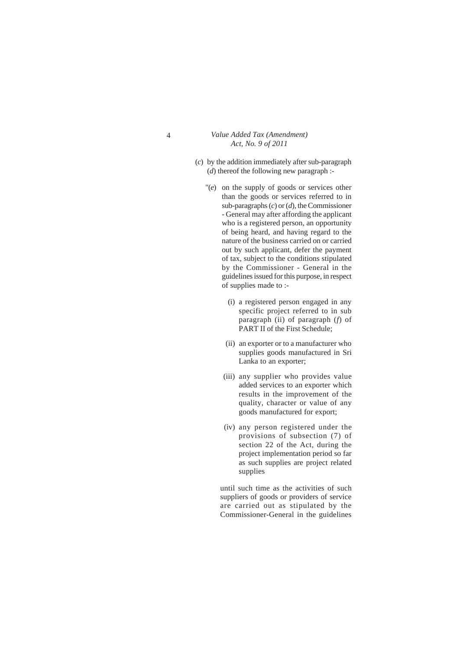- (*c*) by the addition immediately after sub-paragraph (*d*) thereof the following new paragraph :-
	- "(*e*) on the supply of goods or services other than the goods or services referred to in sub-paragraphs (*c*) or (*d*), the Commissioner - General may after affording the applicant who is a registered person, an opportunity of being heard, and having regard to the nature of the business carried on or carried out by such applicant, defer the payment of tax, subject to the conditions stipulated by the Commissioner - General in the guidelines issued for this purpose, in respect of supplies made to :-
		- (i) a registered person engaged in any specific project referred to in sub paragraph (ii) of paragraph (*f*) of PART II of the First Schedule;
		- (ii) an exporter or to a manufacturer who supplies goods manufactured in Sri Lanka to an exporter;
		- (iii) any supplier who provides value added services to an exporter which results in the improvement of the quality, character or value of any goods manufactured for export;
		- (iv) any person registered under the provisions of subsection (7) of section 22 of the Act, during the project implementation period so far as such supplies are project related supplies

until such time as the activities of such suppliers of goods or providers of service are carried out as stipulated by the Commissioner-General in the guidelines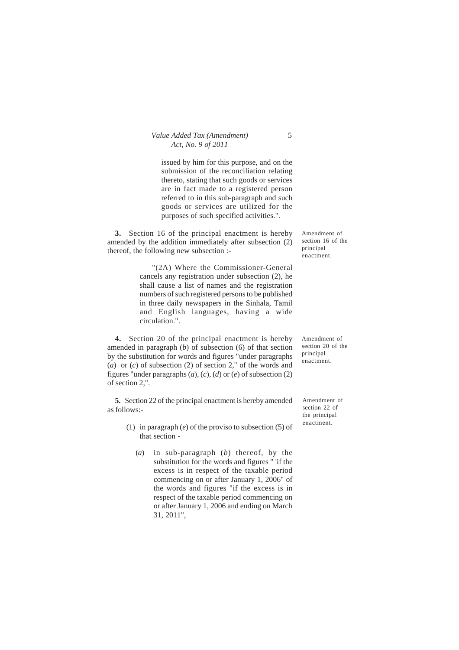issued by him for this purpose, and on the submission of the reconciliation relating thereto, stating that such goods or services are in fact made to a registered person referred to in this sub-paragraph and such goods or services are utilized for the purposes of such specified activities.".

**3.** Section 16 of the principal enactment is hereby amended by the addition immediately after subsection (2) thereof, the following new subsection :-

> "(2A) Where the Commissioner-General cancels any registration under subsection (2), he shall cause a list of names and the registration numbers of such registered persons to be published in three daily newspapers in the Sinhala, Tamil and English languages, having a wide circulation.".

**4.** Section 20 of the principal enactment is hereby amended in paragraph (*b*) of subsection (6) of that section by the substitution for words and figures "under paragraphs (*a*) or (*c*) of subsection (2) of section 2," of the words and figures "under paragraphs (*a*), (*c*), (*d*) or (*e*) of subsection (2) of section 2,".

**5.** Section 22 of the principal enactment is hereby amended as follows:-

- (1) in paragraph (*e*) of the proviso to subsection (5) of that section -
	- (*a*) in sub-paragraph (*b*) thereof, by the substitution for the words and figures " 'if the excess is in respect of the taxable period commencing on or after January 1, 2006" of the words and figures "if the excess is in respect of the taxable period commencing on or after January 1, 2006 and ending on March 31, 2011",

Amendment of section 16 of the principal enactment.

Amendment of section 20 of the principal enactment.

Amendment of section 22 of the principal enactment.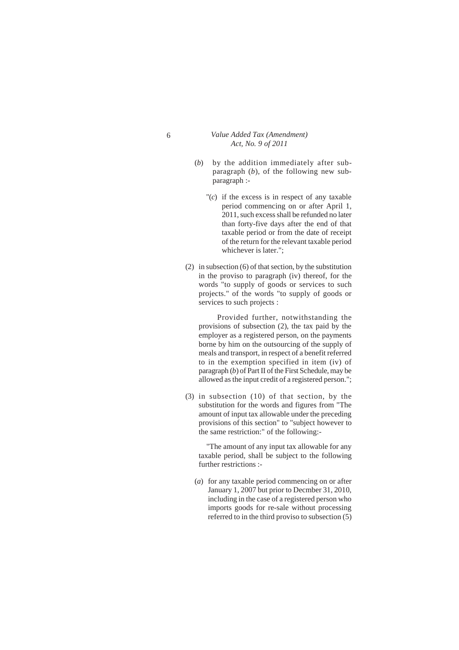- 6 *Value Added Tax (Amendment) Act, No. 9 of 2011*
	- (*b*) by the addition immediately after subparagraph (*b*), of the following new subparagraph :-
		- "(*c*) if the excess is in respect of any taxable period commencing on or after April 1, 2011, such excess shall be refunded no later than forty-five days after the end of that taxable period or from the date of receipt of the return for the relevant taxable period whichever is later.";
	- (2) in subsection (6) of that section, by the substitution in the proviso to paragraph (iv) thereof, for the words "to supply of goods or services to such projects." of the words "to supply of goods or services to such projects :

Provided further, notwithstanding the provisions of subsection (2), the tax paid by the employer as a registered person, on the payments borne by him on the outsourcing of the supply of meals and transport, in respect of a benefit referred to in the exemption specified in item (iv) of paragraph (*b*) of Part II of the First Schedule, may be allowed as the input credit of a registered person.";

(3) in subsection (10) of that section, by the substitution for the words and figures from "The amount of input tax allowable under the preceding provisions of this section" to "subject however to the same restriction:" of the following:-

"The amount of any input tax allowable for any taxable period, shall be subject to the following further restrictions :-

(*a*) for any taxable period commencing on or after January 1, 2007 but prior to Decmber 31, 2010, including in the case of a registered person who imports goods for re-sale without processing referred to in the third proviso to subsection (5)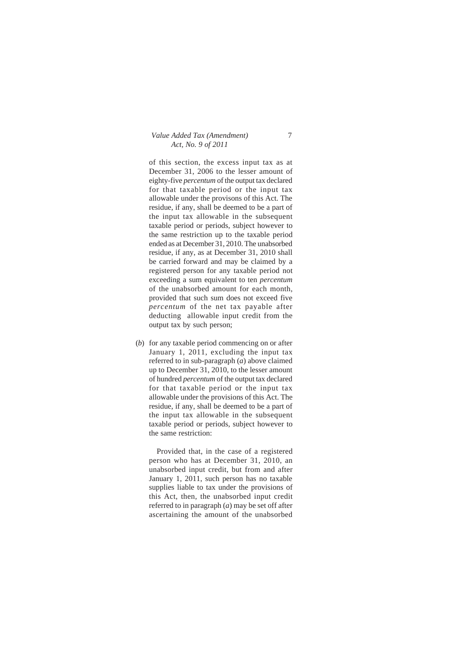of this section, the excess input tax as at December 31, 2006 to the lesser amount of eighty-five *percentum* of the output tax declared for that taxable period or the input tax allowable under the provisons of this Act. The residue, if any, shall be deemed to be a part of the input tax allowable in the subsequent taxable period or periods, subject however to the same restriction up to the taxable period ended as at December 31, 2010. The unabsorbed residue, if any, as at December 31, 2010 shall be carried forward and may be claimed by a registered person for any taxable period not exceeding a sum equivalent to ten *percentum* of the unabsorbed amount for each month, provided that such sum does not exceed five *percentum* of the net tax payable after deducting allowable input credit from the output tax by such person;

(*b*) for any taxable period commencing on or after January 1, 2011, excluding the input tax referred to in sub-paragraph (*a*) above claimed up to December 31, 2010, to the lesser amount of hundred *percentum* of the output tax declared for that taxable period or the input tax allowable under the provisions of this Act. The residue, if any, shall be deemed to be a part of the input tax allowable in the subsequent taxable period or periods, subject however to the same restriction:

Provided that, in the case of a registered person who has at December 31, 2010, an unabsorbed input credit, but from and after January 1, 2011, such person has no taxable supplies liable to tax under the provisions of this Act, then, the unabsorbed input credit referred to in paragraph (*a*) may be set off after ascertaining the amount of the unabsorbed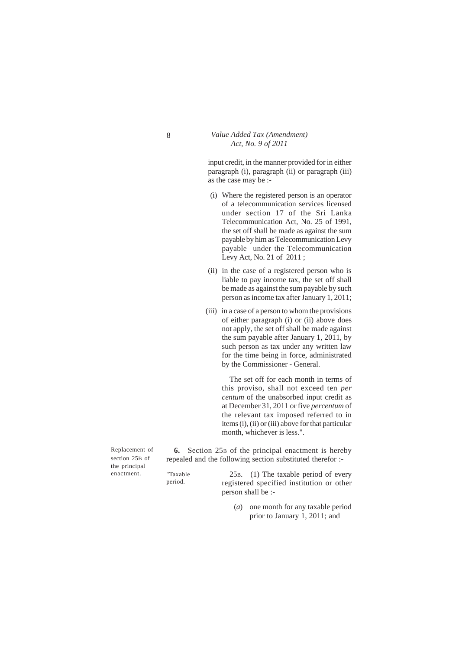input credit, in the manner provided for in either paragraph (i), paragraph (ii) or paragraph (iii) as the case may be :-

- (i) Where the registered person is an operator of a telecommunication services licensed under section 17 of the Sri Lanka Telecommunication Act, No. 25 of 1991, the set off shall be made as against the sum payable by him as Telecommunication Levy payable under the Telecommunication Levy Act, No. 21 of 2011 ;
- (ii) in the case of a registered person who is liable to pay income tax, the set off shall be made as against the sum payable by such person as income tax after January 1, 2011;
- (iii) in a case of a person to whom the provisions of either paragraph (i) or (ii) above does not apply, the set off shall be made against the sum payable after January 1, 2011, by such person as tax under any written law for the time being in force, administrated by the Commissioner - General.

The set off for each month in terms of this proviso, shall not exceed ten *per centum* of the unabsorbed input credit as at December 31, 2011 or five *percentum* of the relevant tax imposed referred to in items (i), (ii) or (iii) above for that particular month, whichever is less.".

Replacement of section 25B of the principal enactment.

**6.** Section 25B of the principal enactment is hereby repealed and the following section substituted therefor :-

"Taxable period.

25B. (1) The taxable period of every registered specified institution or other person shall be :-

(*a*) one month for any taxable period prior to January 1, 2011; and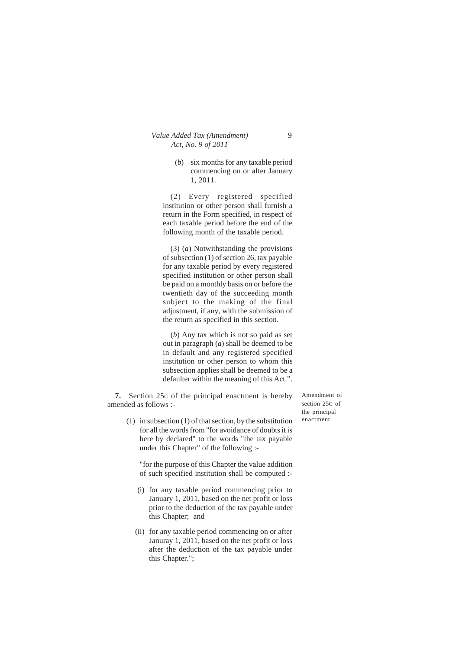(*b*) six months for any taxable period commencing on or after January 1, 2011.

(2) Every registered specified institution or other person shall furnish a return in the Form specified, in respect of each taxable period before the end of the following month of the taxable period.

(3) (*a*) Notwithstanding the provisions of subsection (1) of section 26, tax payable for any taxable period by every registered specified institution or other person shall be paid on a monthly basis on or before the twentieth day of the succeeding month subject to the making of the final adjustment, if any, with the submission of the return as specified in this section.

(*b*) Any tax which is not so paid as set out in paragraph (*a*) shall be deemed to be in default and any registered specified institution or other person to whom this subsection applies shall be deemed to be a defaulter within the meaning of this Act.".

**7.** Section 25c of the principal enactment is hereby amended as follows :-

section 25C of the principal enactment.

Amendment of

(1) in subsection (1) of that section, by the substitution for all the words from "for avoidance of doubts it is here by declared" to the words "the tax payable under this Chapter" of the following :-

"for the purpose of this Chapter the value addition of such specified institution shall be computed :-

- (i) for any taxable period commencing prior to January 1, 2011, based on the net profit or loss prior to the deduction of the tax payable under this Chapter; and
- (ii) for any taxable period commencing on or after Januray 1, 2011, based on the net profit or loss after the deduction of the tax payable under this Chapter.";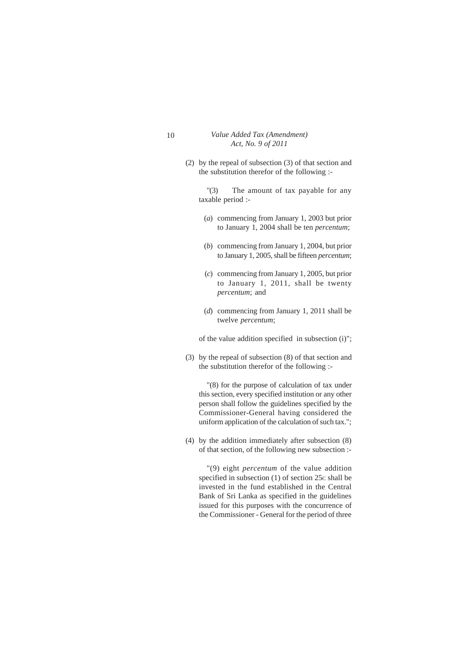(2) by the repeal of subsection (3) of that section and the substitution therefor of the following :-

"(3) The amount of tax payable for any taxable period :-

- (*a*) commencing from January 1, 2003 but prior to January 1, 2004 shall be ten *percentum*;
- (*b*) commencing from January 1, 2004, but prior to January 1, 2005, shall be fifteen *percentum*;
- (*c*) commencing from January 1, 2005, but prior to January 1, 2011, shall be twenty *percentum*; and
- (*d*) commencing from January 1, 2011 shall be twelve *percentum*;

of the value addition specified in subsection (i)";

(3) by the repeal of subsection (8) of that section and the substitution therefor of the following :-

"(8) for the purpose of calculation of tax under this section, every specified institution or any other person shall follow the guidelines specified by the Commissioner-General having considered the uniform application of the calculation of such tax.";

(4) by the addition immediately after subsection (8) of that section, of the following new subsection :-

"(9) eight *percentum* of the value addition specified in subsection (1) of section 25c shall be invested in the fund established in the Central Bank of Sri Lanka as specified in the guidelines issued for this purposes with the concurrence of the Commissioner - General for the period of three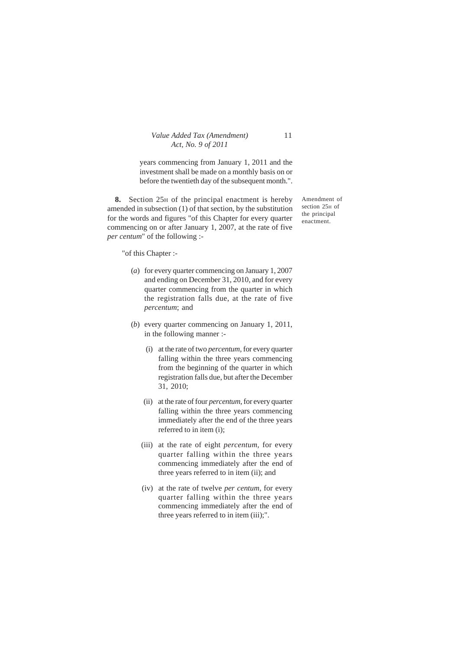years commencing from January 1, 2011 and the investment shall be made on a monthly basis on or before the twentieth day of the subsequent month.".

**8.** Section 25H of the principal enactment is hereby amended in subsection (1) of that section, by the substitution for the words and figures "of this Chapter for every quarter commencing on or after January 1, 2007, at the rate of five *per centum*" of the following :-

"of this Chapter :-

- (*a*) for every quarter commencing on January 1, 2007 and ending on December 31, 2010, and for every quarter commencing from the quarter in which the registration falls due, at the rate of five *percentum*; and
- (*b*) every quarter commencing on January 1, 2011, in the following manner :-
	- (i) at the rate of two *percentum,* for every quarter falling within the three years commencing from the beginning of the quarter in which registration falls due, but after the December 31, 2010;
	- (ii) at the rate of four *percentum,* for every quarter falling within the three years commencing immediately after the end of the three years referred to in item (i);
	- (iii) at the rate of eight *percentum,* for every quarter falling within the three years commencing immediately after the end of three years referred to in item (ii); and
	- (iv) at the rate of twelve *per centum,* for every quarter falling within the three years commencing immediately after the end of three years referred to in item (iii);".

Amendment of section 25H of the principal enactment.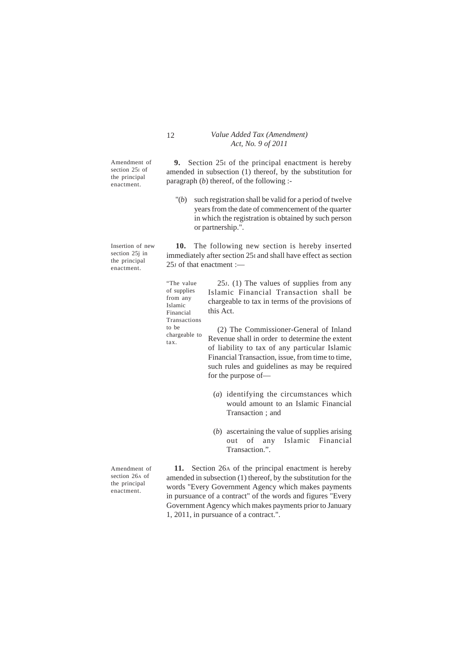Amendment of section 25<sup>I</sup> of the principal enactment.

Insertion of new section 25j in the principal enactment.

> chargeable to tax.

**9.** Section 25I of the principal enactment is hereby amended in subsection (1) thereof, by the substitution for paragraph (*b*) thereof, of the following :-

"(*b*) such registration shall be valid for a period of twelve years from the date of commencement of the quarter in which the registration is obtained by such person or partnership.".

**10.** The following new section is hereby inserted immediately after section 25I and shall have effect as section 25J of that enactment :—

25J. (1) The values of supplies from any Islamic Financial Transaction shall be chargeable to tax in terms of the provisions of this Act. "The value of supplies from any Islamic Financial Transactions to be

(2) The Commissioner-General of Inland Revenue shall in order to determine the extent of liability to tax of any particular Islamic Financial Transaction, issue, from time to time, such rules and guidelines as may be required for the purpose of—

- (*a*) identifying the circumstances which would amount to an Islamic Financial Transaction ; and
- (*b*) ascertaining the value of supplies arising out of any Islamic Financial Transaction.".

Amendment of section 26A of the principal enactment.

**11.** Section 26A of the principal enactment is hereby amended in subsection (1) thereof, by the substitution for the words "Every Government Agency which makes payments in pursuance of a contract" of the words and figures "Every Government Agency which makes payments prior to January 1, 2011, in pursuance of a contract.".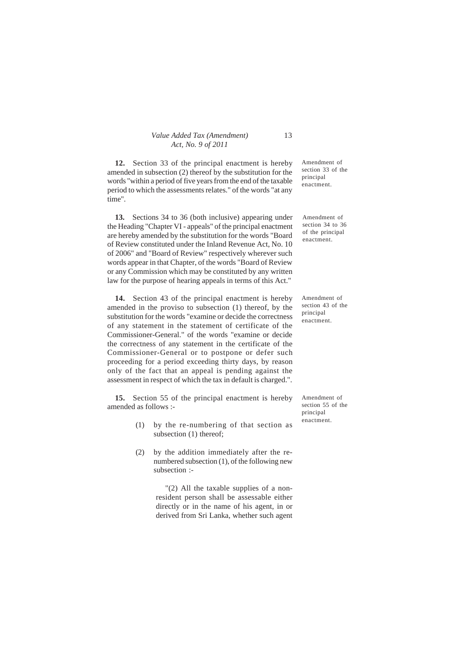**12.** Section 33 of the principal enactment is hereby amended in subsection (2) thereof by the substitution for the words "within a period of five years from the end of the taxable period to which the assessments relates." of the words "at any time".

**13.** Sections 34 to 36 (both inclusive) appearing under the Heading "Chapter VI - appeals" of the principal enactment are hereby amended by the substitution for the words "Board of Review constituted under the Inland Revenue Act, No. 10 of 2006" and "Board of Review" respectively wherever such words appear in that Chapter, of the words "Board of Review or any Commission which may be constituted by any written law for the purpose of hearing appeals in terms of this Act."

**14.** Section 43 of the principal enactment is hereby amended in the proviso to subsection (1) thereof, by the substitution for the words "examine or decide the correctness of any statement in the statement of certificate of the Commissioner-General." of the words "examine or decide the correctness of any statement in the certificate of the Commissioner-General or to postpone or defer such proceeding for a period exceeding thirty days, by reason only of the fact that an appeal is pending against the assessment in respect of which the tax in default is charged.".

**15.** Section 55 of the principal enactment is hereby amended as follows :-

- (1) by the re-numbering of that section as subsection (1) thereof;
- (2) by the addition immediately after the renumbered subsection (1), of the following new subsection :-

"(2) All the taxable supplies of a nonresident person shall be assessable either directly or in the name of his agent, in or derived from Sri Lanka, whether such agent Amendment of section 33 of the principal enactment.

Amendment of section 34 to 36 of the principal enactment.

Amendment of section 43 of the principal enactment.

Amendment of section 55 of the principal enactment.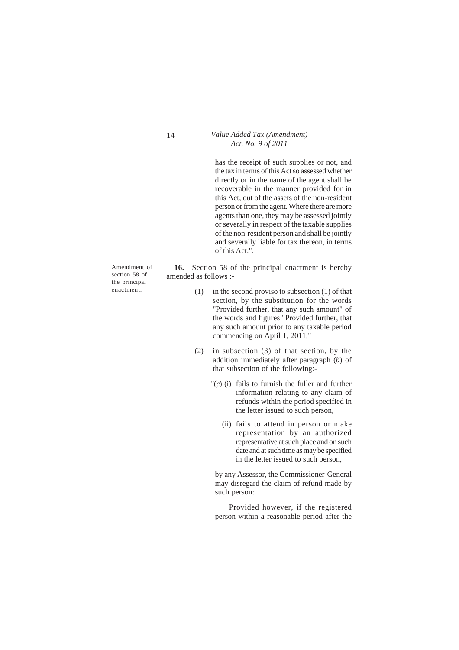has the receipt of such supplies or not, and the tax in terms of this Act so assessed whether directly or in the name of the agent shall be recoverable in the manner provided for in this Act, out of the assets of the non-resident person or from the agent. Where there are more agents than one, they may be assessed jointly or severally in respect of the taxable supplies of the non-resident person and shall be jointly and severally liable for tax thereon, in terms of this Act.".

Amendment of section 58 of the principal enactment.

**16.** Section 58 of the principal enactment is hereby amended as follows :-

- (1) in the second proviso to subsection (1) of that section, by the substitution for the words "Provided further, that any such amount" of the words and figures "Provided further, that any such amount prior to any taxable period commencing on April 1, 2011,"
- (2) in subsection (3) of that section, by the addition immediately after paragraph (*b*) of that subsection of the following:-
	- "(*c*) (i) fails to furnish the fuller and further information relating to any claim of refunds within the period specified in the letter issued to such person,
		- (ii) fails to attend in person or make representation by an authorized representative at such place and on such date and at such time as may be specified in the letter issued to such person,

by any Assessor, the Commissioner-General may disregard the claim of refund made by such person:

Provided however, if the registered person within a reasonable period after the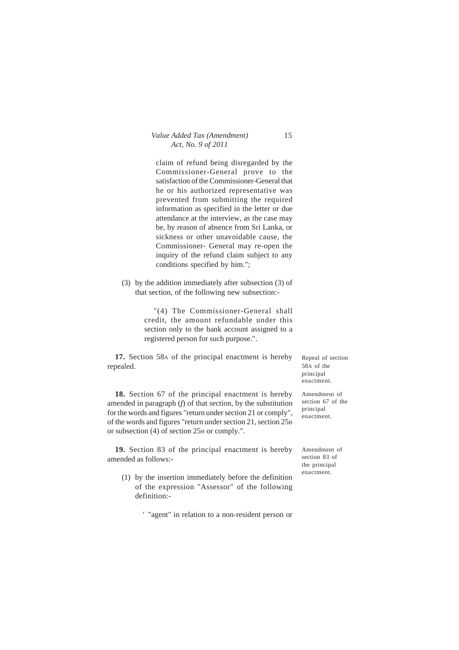| Value Added Tax (Amendment) | 15 |
|-----------------------------|----|
| Act, No. 9 of 2011          |    |

claim of refund being disregarded by the Commissioner-General prove to the satisfaction of the Commissioner-General that he or his authorized representative was prevented from submitting the required information as specified in the letter or due attendance at the interview, as the case may be, by reason of absence from Sri Lanka, or sickness or other unavoidable cause, the Commissioner- General may re-open the inquiry of the refund claim subject to any conditions specified by him.";

(3) by the addition immediately after subsection (3) of that section, of the following new subsection:-

> "(4) The Commissioner-General shall credit, the amount refundable under this section only to the bank account assigned to a registered person for such purpose.".

**17.** Section 58A of the principal enactment is hereby repealed.

**18.** Section 67 of the principal enactment is hereby amended in paragraph (*f*) of that section, by the substitution for the words and figures "return under section 21 or comply", of the words and figures "return under section 21, section 25B or subsection (4) of section 25H or comply.".

**19.** Section 83 of the principal enactment is hereby amended as follows:-

(1) by the insertion immediately before the definition of the expression "Assessor" of the following definition:-

' "agent" in relation to a non-resident person or

Repeal of section 58A of the principal enactment.

Amendment of section 67 of the principal enactment.

Amendment of section 83 of the principal enactment.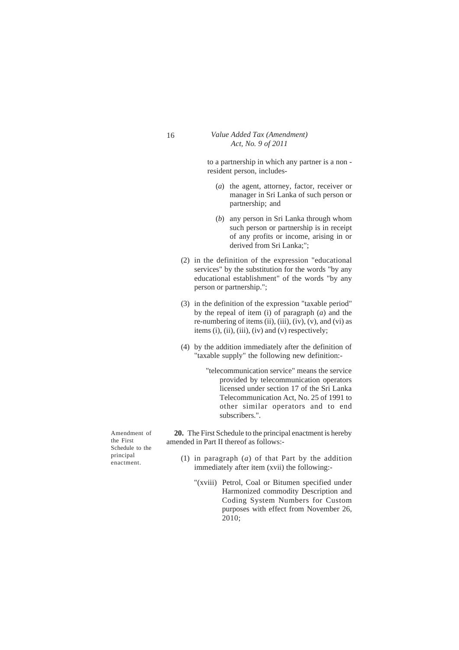to a partnership in which any partner is a non resident person, includes-

- (*a*) the agent, attorney, factor, receiver or manager in Sri Lanka of such person or partnership; and
- (*b*) any person in Sri Lanka through whom such person or partnership is in receipt of any profits or income, arising in or derived from Sri Lanka;";
- (2) in the definition of the expression "educational services" by the substitution for the words "by any educational establishment" of the words "by any person or partnership.";
- (3) in the definition of the expression "taxable period" by the repeal of item (i) of paragraph (*a*) and the re-numbering of items (ii), (iii), (iv), (v), and (vi) as items (i), (ii), (iii), (iv) and (v) respectively;
- (4) by the addition immediately after the definition of "taxable supply" the following new definition:-

"telecommunication service" means the service provided by telecommunication operators licensed under section 17 of the Sri Lanka Telecommunication Act, No. 25 of 1991 to other similar operators and to end subscribers.".

**20.** The First Schedule to the principal enactment is hereby amended in Part II thereof as follows:-

- (1) in paragraph (*a*) of that Part by the addition immediately after item (xvii) the following:-
	- "(xviii) Petrol, Coal or Bitumen specified under Harmonized commodity Description and Coding System Numbers for Custom purposes with effect from November 26, 2010;

Amendment of the First Schedule to the principal enactment.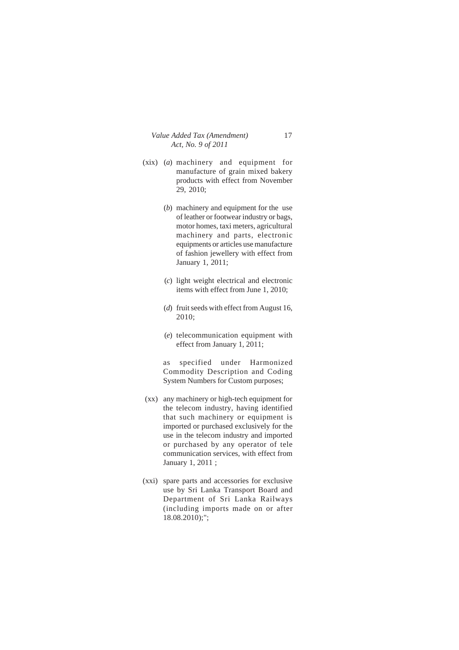- (xix) (*a*) machinery and equipment for manufacture of grain mixed bakery products with effect from November 29, 2010;
	- (*b*) machinery and equipment for the use of leather or footwear industry or bags, motor homes, taxi meters, agricultural machinery and parts, electronic equipments or articles use manufacture of fashion jewellery with effect from January 1, 2011;
	- (*c*) light weight electrical and electronic items with effect from June 1, 2010;
	- (*d*) fruit seeds with effect from August 16, 2010;
	- (*e*) telecommunication equipment with effect from January 1, 2011;

as specified under Harmonized Commodity Description and Coding System Numbers for Custom purposes;

- (xx) any machinery or high-tech equipment for the telecom industry, having identified that such machinery or equipment is imported or purchased exclusively for the use in the telecom industry and imported or purchased by any operator of tele communication services, with effect from January 1, 2011 ;
- (xxi) spare parts and accessories for exclusive use by Sri Lanka Transport Board and Department of Sri Lanka Railways (including imports made on or after 18.08.2010);";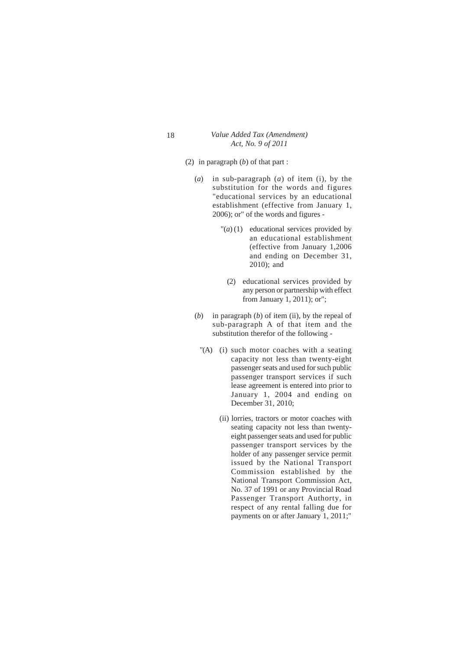- (2) in paragraph (*b*) of that part :
	- (*a*) in sub-paragraph (*a*) of item (i), by the substitution for the words and figures "educational services by an educational establishment (effective from January 1, 2006); or" of the words and figures -
		- $\Gamma(a)$  (1) educational services provided by an educational establishment (effective from January 1,2006 and ending on December 31, 2010); and
			- (2) educational services provided by any person or partnership with effect from January 1, 2011); or";
	- (*b*) in paragraph (*b*) of item (ii), by the repeal of sub-paragraph A of that item and the substitution therefor of the following -
		- "(A) (i) such motor coaches with a seating capacity not less than twenty-eight passenger seats and used for such public passenger transport services if such lease agreement is entered into prior to January 1, 2004 and ending on December 31, 2010;
			- (ii) lorries, tractors or motor coaches with seating capacity not less than twentyeight passenger seats and used for public passenger transport services by the holder of any passenger service permit issued by the National Transport Commission established by the National Transport Commission Act, No. 37 of 1991 or any Provincial Road Passenger Transport Authorty, in respect of any rental falling due for payments on or after January 1, 2011;"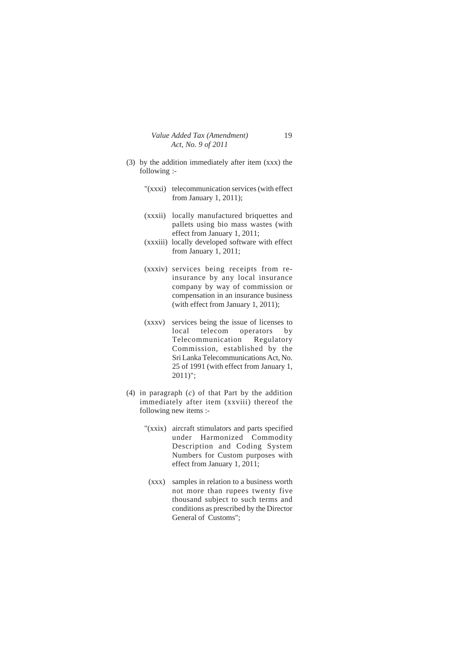- (3) by the addition immediately after item (xxx) the following :-
	- "(xxxi) telecommunication services (with effect from January 1, 2011);
	- (xxxii) locally manufactured briquettes and pallets using bio mass wastes (with effect from January 1, 2011;
	- (xxxiii) locally developed software with effect from January 1, 2011;
	- (xxxiv) services being receipts from reinsurance by any local insurance company by way of commission or compensation in an insurance business (with effect from January 1, 2011);
	- (xxxv) services being the issue of licenses to local telecom operators by Telecommunication Regulatory Commission, established by the Sri Lanka Telecommunications Act, No. 25 of 1991 (with effect from January 1, 2011)";
- (4) in paragraph (*c*) of that Part by the addition immediately after item (xxviii) thereof the following new items :-
	- "(xxix) aircraft stimulators and parts specified under Harmonized Commodity Description and Coding System Numbers for Custom purposes with effect from January 1, 2011;
	- (xxx) samples in relation to a business worth not more than rupees twenty five thousand subject to such terms and conditions as prescribed by the Director General of Customs";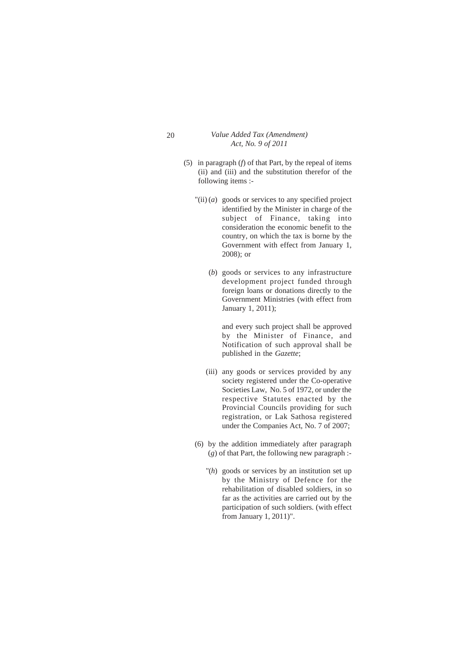- (5) in paragraph (*f*) of that Part, by the repeal of items (ii) and (iii) and the substitution therefor of the following items :-
	- $\text{``(ii)}(a)$  goods or services to any specified project identified by the Minister in charge of the subject of Finance, taking into consideration the economic benefit to the country, on which the tax is borne by the Government with effect from January 1, 2008); or
		- (*b*) goods or services to any infrastructure development project funded through foreign loans or donations directly to the Government Ministries (with effect from January 1, 2011);

and every such project shall be approved by the Minister of Finance, and Notification of such approval shall be published in the *Gazette*;

- (iii) any goods or services provided by any society registered under the Co-operative Societies Law, No. 5 of 1972, or under the respective Statutes enacted by the Provincial Councils providing for such registration, or Lak Sathosa registered under the Companies Act, No. 7 of 2007;
- (6) by the addition immediately after paragraph (*g*) of that Part, the following new paragraph :-
	- "(*h*) goods or services by an institution set up by the Ministry of Defence for the rehabilitation of disabled soldiers, in so far as the activities are carried out by the participation of such soldiers. (with effect from January 1, 2011)".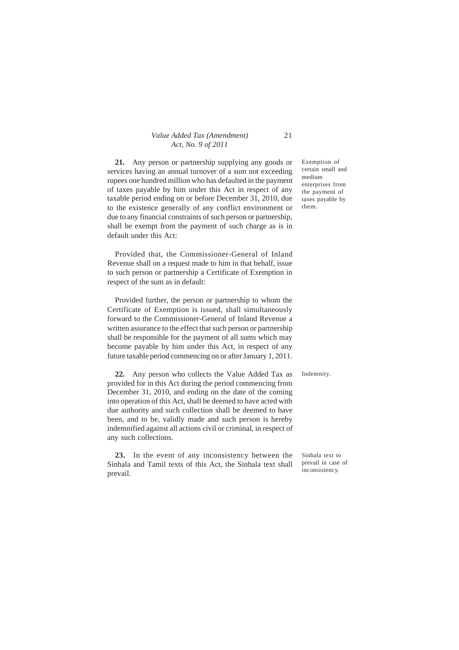**21.** Any person or partnership supplying any goods or services having an annual turnover of a sum not exceeding rupees one hundred million who has defaulted in the payment of taxes payable by him under this Act in respect of any taxable period ending on or before December 31, 2010, due to the existence generally of any conflict environment or due to any financial constraints of such person or partnership, shall be exempt from the payment of such charge as is in default under this Act:

Provided that, the Commissioner-General of Inland Revenue shall on a request made to him in that behalf, issue to such person or partnership a Certificate of Exemption in respect of the sum as in default:

Provided further, the person or partnership to whom the Certificate of Exemption is issued, shall simultaneously forward to the Commissioner-General of Inland Revenue a written assurance to the effect that such person or partnership shall be responsible for the payment of all sums which may become payable by him under this Act, in respect of any future taxable period commencing on or after January 1, 2011.

**22.** Any person who collects the Value Added Tax as provided for in this Act during the period commencing from December 31, 2010, and ending on the date of the coming into operation of this Act, shall be deemed to have acted with due authority and such collection shall be deemed to have been, and to be, validly made and such person is hereby indemnified against all actions civil or criminal, in respect of any such collections.

**23.** In the event of any inconsistency between the Sinhala and Tamil texts of this Act, the Sinhala text shall prevail.

Exemption of certain small and medium enterprises from the payment of taxes payable by them.

Indemnity.

Sinhala text to prevail in case of inconsistency.